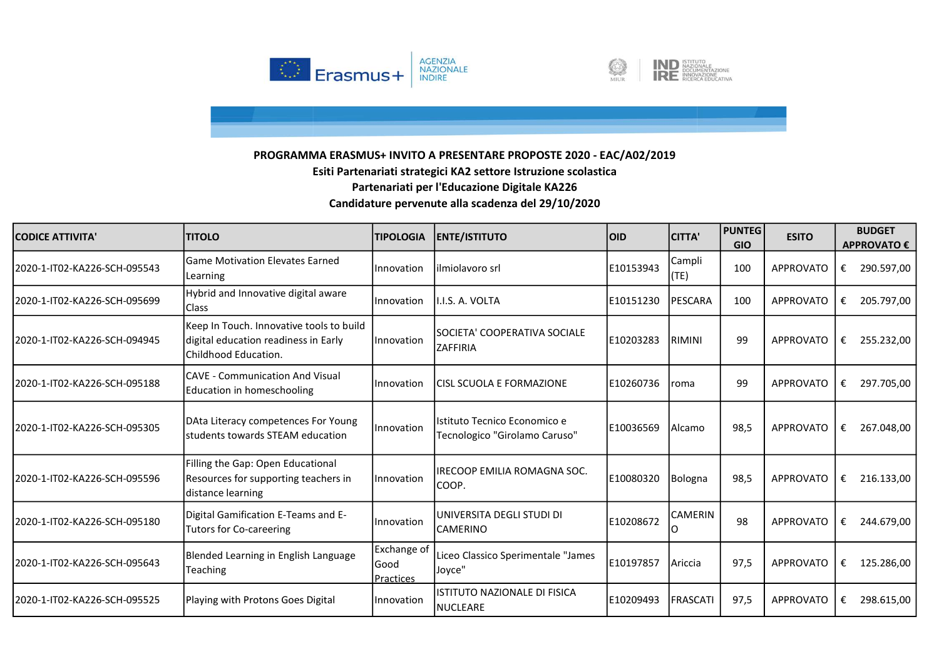



| <b>CODICE ATTIVITA'</b>       | <b>ITITOLO</b>                                                                                           | <b>TIPOLOGIA</b>                 | <b>ENTE/ISTITUTO</b>                                          | loid.      | <b>CITTA'</b>   | <b>PUNTEG</b><br><b>GIO</b> | <b>ESITO</b>     | <b>BUDGET</b><br><b>APPROVATO €</b> |
|-------------------------------|----------------------------------------------------------------------------------------------------------|----------------------------------|---------------------------------------------------------------|------------|-----------------|-----------------------------|------------------|-------------------------------------|
| 2020-1-IT02-KA226-SCH-095543  | <b>Game Motivation Elevates Earned</b><br>Learning                                                       | Innovation                       | ilmiolavoro srl                                               | E10153943  | Campli<br>(TE)  | 100                         | <b>APPROVATO</b> | 290.597,00<br>€                     |
| l2020-1-IT02-KA226-SCH-095699 | Hybrid and Innovative digital aware<br><b>Class</b>                                                      | Innovation                       | I.I.S. A. VOLTA                                               | E10151230  | <b>PESCARA</b>  | 100                         | APPROVATO        | 205.797,00<br>€                     |
| l2020-1-IT02-KA226-SCH-094945 | Keep In Touch. Innovative tools to build<br>digital education readiness in Early<br>Childhood Education. | Innovation                       | SOCIETA' COOPERATIVA SOCIALE<br><b>ZAFFIRIA</b>               | IE10203283 | RIMINI          | 99                          | <b>APPROVATO</b> | €<br>255.232,00                     |
| 2020-1-IT02-KA226-SCH-095188  | <b>CAVE - Communication And Visual</b><br>Education in homeschooling                                     | Innovation                       | CISL SCUOLA E FORMAZIONE                                      | E10260736  | roma            | 99                          | <b>APPROVATO</b> | €<br>297.705,00                     |
| 2020-1-IT02-KA226-SCH-095305  | DAta Literacy competences For Young<br>students towards STEAM education                                  | Innovation                       | Istituto Tecnico Economico e<br>Tecnologico "Girolamo Caruso" | E10036569  | <b>Alcamo</b>   | 98,5                        | <b>APPROVATO</b> | €<br>267.048,00                     |
| l2020-1-IT02-KA226-SCH-095596 | Filling the Gap: Open Educational<br>Resources for supporting teachers in<br>distance learning           | Innovation                       | IRECOOP EMILIA ROMAGNA SOC.<br>COOP.                          | E10080320  | Bologna         | 98,5                        | <b>APPROVATO</b> | €<br>216.133,00                     |
| 2020-1-IT02-KA226-SCH-095180  | Digital Gamification E-Teams and E-<br><b>Tutors for Co-careering</b>                                    | Innovation                       | UNIVERSITA DEGLI STUDI DI<br>CAMERINO                         | E10208672  | <b>CAMERIN</b>  | 98                          | <b>APPROVATO</b> | 244.679,00<br>€                     |
| l2020-1-IT02-KA226-SCH-095643 | Blended Learning in English Language<br><b>Teaching</b>                                                  | Exchange of<br>Good<br>Practices | Liceo Classico Sperimentale "James<br>Jovce"                  | E10197857  | Ariccia         | 97.5                        | <b>APPROVATO</b> | 125.286,00<br>€                     |
| 2020-1-IT02-KA226-SCH-095525  | Playing with Protons Goes Digital                                                                        | Innovation                       | <b>ISTITUTO NAZIONALE DI FISICA</b><br><b>NUCLEARE</b>        | E10209493  | <b>FRASCATI</b> | 97,5                        | <b>APPROVATO</b> | 298.615,00<br>€                     |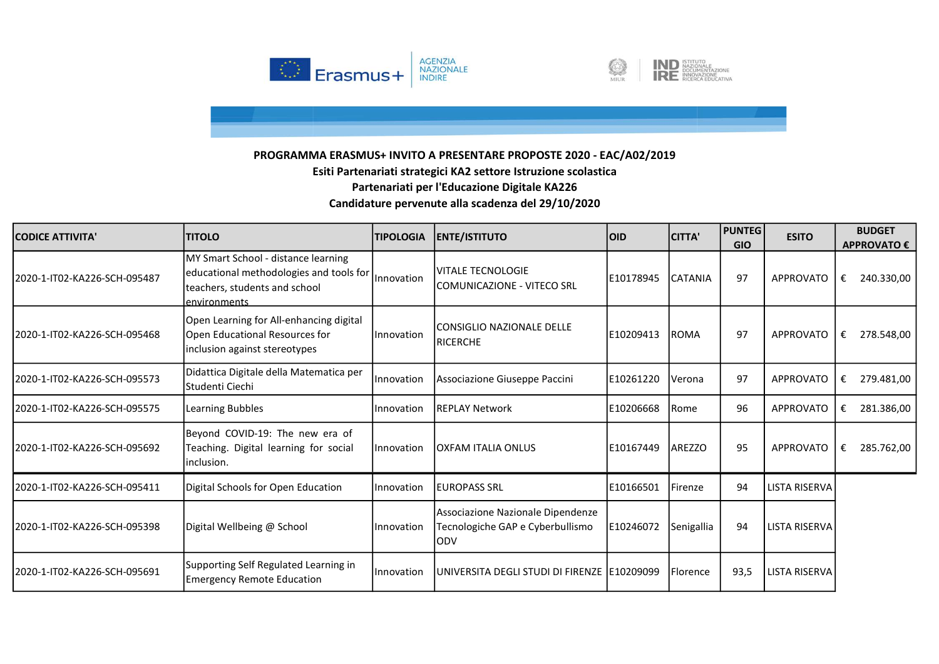



| <b>CODICE ATTIVITA'</b>       | <b>ITITOLO</b>                                                                                                                              | <b>TIPOLOGIA</b> | <b>ENTE/ISTITUTO</b>                                                         | <b>OID</b> | <b>CITTA'</b>  | <b>PUNTEG</b><br><b>GIO</b> | <b>ESITO</b>         | <b>BUDGET</b><br>APPROVATO € |
|-------------------------------|---------------------------------------------------------------------------------------------------------------------------------------------|------------------|------------------------------------------------------------------------------|------------|----------------|-----------------------------|----------------------|------------------------------|
| 2020-1-IT02-KA226-SCH-095487  | MY Smart School - distance learning<br>educational methodologies and tools for  Innovation<br>teachers, students and school<br>environments |                  | <b>VITALE TECNOLOGIE</b><br>COMUNICAZIONE - VITECO SRL                       | E10178945  | <b>CATANIA</b> | 97                          | <b>APPROVATO</b>     | 240.330,00<br>€              |
| l2020-1-IT02-KA226-SCH-095468 | Open Learning for All-enhancing digital<br>Open Educational Resources for<br>inclusion against stereotypes                                  | Innovation       | <b>CONSIGLIO NAZIONALE DELLE</b><br><b>RICERCHE</b>                          | E10209413  | <b>ROMA</b>    | 97                          | <b>APPROVATO</b>     | 278.548,00<br>€              |
| 2020-1-IT02-KA226-SCH-095573  | Didattica Digitale della Matematica per<br>Studenti Ciechi                                                                                  | Innovation       | Associazione Giuseppe Paccini                                                | E10261220  | Verona         | 97                          | <b>APPROVATO</b>     | 279.481,00<br>€              |
| 2020-1-IT02-KA226-SCH-095575  | Learning Bubbles                                                                                                                            | Innovation       | <b>REPLAY Network</b>                                                        | E10206668  | l Rome         | 96                          | <b>APPROVATO</b>     | 281.386,00<br>€              |
| l2020-1-IT02-KA226-SCH-095692 | Beyond COVID-19: The new era of<br>Teaching. Digital learning for social<br>inclusion.                                                      | Innovation       | <b>OXFAM ITALIA ONLUS</b>                                                    | E10167449  | <b>AREZZO</b>  | 95                          | <b>APPROVATO</b>     | 285.762,00<br>€              |
| 2020-1-IT02-KA226-SCH-095411  | Digital Schools for Open Education                                                                                                          | Innovation       | <b>EUROPASS SRL</b>                                                          | E10166501  | Firenze        | 94                          | <b>LISTA RISERVA</b> |                              |
| l2020-1-IT02-KA226-SCH-095398 | Digital Wellbeing @ School                                                                                                                  | Innovation       | Associazione Nazionale Dipendenze<br>Tecnologiche GAP e Cyberbullismo<br>ODV | E10246072  | Senigallia     | 94                          | <b>LISTA RISERVA</b> |                              |
| l2020-1-IT02-KA226-SCH-095691 | Supporting Self Regulated Learning in<br><b>Emergency Remote Education</b>                                                                  | Innovation       | UNIVERSITA DEGLI STUDI DI FIRENZE 1E10209099                                 |            | Florence       | 93,5                        | <b>LISTA RISERVA</b> |                              |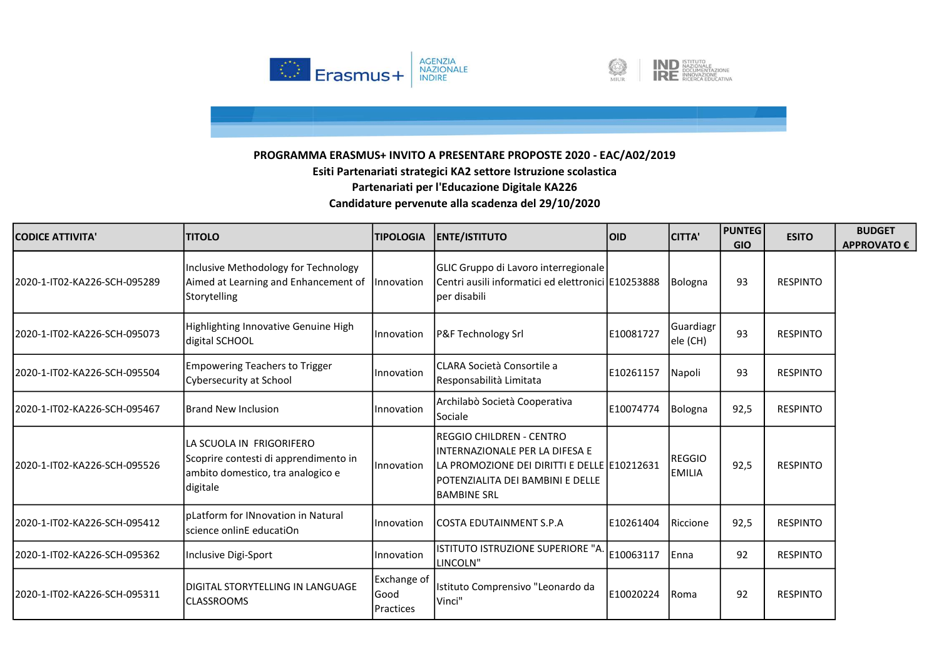



| <b>CODICE ATTIVITA'</b>      | <b>TITOLO</b>                                                                                                       | <b>TIPOLOGIA</b>                                       | <b>ENTE/ISTITUTO</b>                                                                                                                                                                  | <b>OID</b> | <b>CITTA'</b>           | <b>PUNTEG</b><br><b>GIO</b> | <b>ESITO</b>    | <b>BUDGET</b><br><b>APPROVATO €</b> |
|------------------------------|---------------------------------------------------------------------------------------------------------------------|--------------------------------------------------------|---------------------------------------------------------------------------------------------------------------------------------------------------------------------------------------|------------|-------------------------|-----------------------------|-----------------|-------------------------------------|
| 2020-1-IT02-KA226-SCH-095289 | Inclusive Methodology for Technology<br>Aimed at Learning and Enhancement of   Innovation<br>Storytelling           |                                                        | GLIC Gruppo di Lavoro interregionale<br>Centri ausili informatici ed elettronici E10253888<br>per disabili                                                                            |            | Bologna                 | 93                          | <b>RESPINTO</b> |                                     |
| 2020-1-IT02-KA226-SCH-095073 | Highlighting Innovative Genuine High<br>digital SCHOOL                                                              | Innovation                                             | <b>P&amp;F Technology Srl</b>                                                                                                                                                         | E10081727  | Guardiagr<br>ele (CH)   | 93                          | <b>RESPINTO</b> |                                     |
| 2020-1-IT02-KA226-SCH-095504 | <b>Empowering Teachers to Trigger</b><br>Cybersecurity at School                                                    | <b>Innovation</b>                                      | CLARA Società Consortile a<br>Responsabilità Limitata                                                                                                                                 | E10261157  | Napoli                  | 93                          | <b>RESPINTO</b> |                                     |
| 2020-1-IT02-KA226-SCH-095467 | <b>Brand New Inclusion</b>                                                                                          | Innovation                                             | Archilabò Società Cooperativa<br>Sociale                                                                                                                                              | E10074774  | Bologna                 | 92,5                        | <b>RESPINTO</b> |                                     |
| 2020-1-IT02-KA226-SCH-095526 | lla scuola in Frigorifero<br>Scoprire contesti di apprendimento in<br>ambito domestico, tra analogico e<br>digitale | <b>Ilnnovation</b>                                     | <b>IREGGIO CHILDREN - CENTRO</b><br>IINTERNAZIONALE PER LA DIFESA E<br>LA PROMOZIONE DEI DIRITTI E DELLE E10212631<br><b>IPOTENZIALITA DEI BAMBINI E DELLE</b><br><b>IBAMBINE SRL</b> |            | REGGIO<br><b>EMILIA</b> | 92,5                        | <b>RESPINTO</b> |                                     |
| 2020-1-IT02-KA226-SCH-095412 | lpLatform for INnovation in Natural<br>Iscience onlinE educatiOn                                                    | <b>Innovation</b>                                      | ICOSTA EDUTAINMENT S.P.A                                                                                                                                                              | E10261404  | Riccione                | 92,5                        | <b>RESPINTO</b> |                                     |
| 2020-1-IT02-KA226-SCH-095362 | Inclusive Digi-Sport                                                                                                | <b>Innovation</b>                                      | ISTITUTO ISTRUZIONE SUPERIORE "A<br>LINCOLN"                                                                                                                                          | E10063117  | Enna                    | 92                          | <b>RESPINTO</b> |                                     |
| 2020-1-IT02-KA226-SCH-095311 | DIGITAL STORYTELLING IN LANGUAGE<br><b>ICLASSROOMS</b>                                                              | <b>Exchange of</b><br><b>Sood</b><br><b>IPractices</b> | Istituto Comprensivo "Leonardo da<br>Vinci"                                                                                                                                           | E10020224  | <b>Roma</b>             | 92                          | <b>RESPINTO</b> |                                     |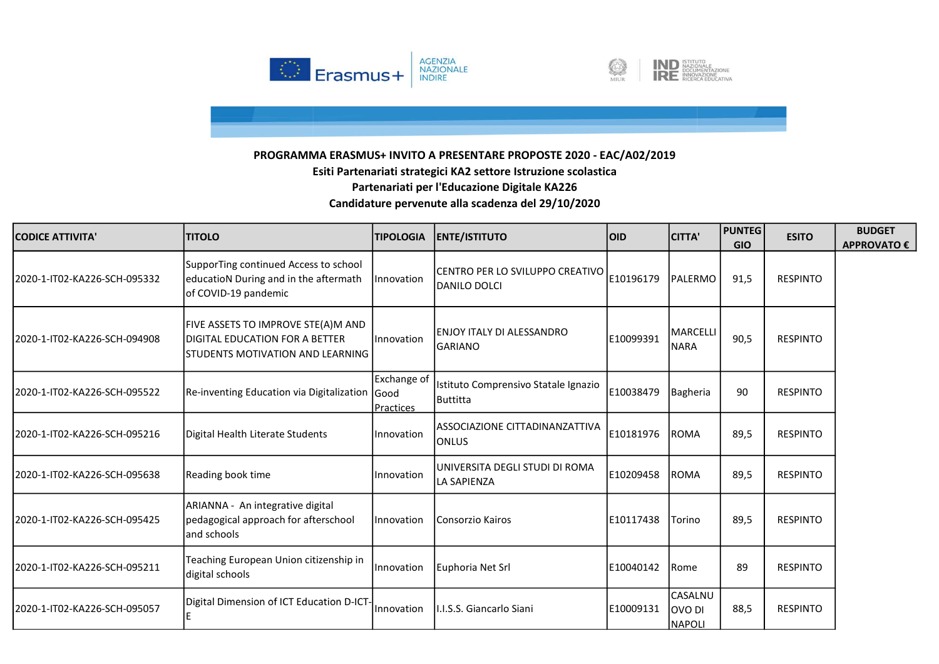



| <b>CODICE ATTIVITA'</b>       | <b>TITOLO</b>                                                                                                          | <b>TIPOLOGIA</b>         | <b>ENTE/ISTITUTO</b>                                      | <b>OID</b> | <b>CITTA'</b>                             | <b>PUNTEG</b><br><b>GIO</b> | <b>ESITO</b>    | <b>BUDGET</b><br><b>APPROVATO €</b> |
|-------------------------------|------------------------------------------------------------------------------------------------------------------------|--------------------------|-----------------------------------------------------------|------------|-------------------------------------------|-----------------------------|-----------------|-------------------------------------|
| l2020-1-IT02-KA226-SCH-095332 | SupporTing continued Access to school<br>educatioN During and in the aftermath<br>of COVID-19 pandemic                 | <i>Innovation</i>        | CENTRO PER LO SVILUPPO CREATIVO<br>DANILO DOLCI           | E10196179  | PALERMO                                   | 91,5                        | <b>RESPINTO</b> |                                     |
| l2020-1-IT02-KA226-SCH-094908 | FIVE ASSETS TO IMPROVE STE(A)M AND<br><b>DIGITAL EDUCATION FOR A BETTER</b><br><b>STUDENTS MOTIVATION AND LEARNING</b> | <b>Innovation</b>        | <b>ENJOY ITALY DI ALESSANDRO</b><br><b>GARIANO</b>        | E10099391  | MARCELLI<br><b>NARA</b>                   | 90,5                        | <b>RESPINTO</b> |                                     |
| 2020-1-IT02-KA226-SCH-095522  | Re-inventing Education via Digitalization Good                                                                         | Exchange of<br>Practices | Istituto Comprensivo Statale Ignazio<br><b>I</b> Buttitta | E10038479  | Bagheria                                  | 90                          | <b>RESPINTO</b> |                                     |
| 2020-1-IT02-KA226-SCH-095216  | Digital Health Literate Students                                                                                       | Innovation               | IASSOCIAZIONE CITTADINANZATTIVA<br><b>ONLUS</b>           | E10181976  | <b>ROMA</b>                               | 89,5                        | <b>RESPINTO</b> |                                     |
| 2020-1-IT02-KA226-SCH-095638  | Reading book time                                                                                                      | Innovation               | UNIVERSITA DEGLI STUDI DI ROMA<br>LA SAPIENZA             | E10209458  | <b>ROMA</b>                               | 89,5                        | <b>RESPINTO</b> |                                     |
| 2020-1-IT02-KA226-SCH-095425  | ARIANNA - An integrative digital<br>pedagogical approach for afterschool<br>and schools                                | Innovation               | Consorzio Kairos                                          | E10117438  | Torino                                    | 89,5                        | <b>RESPINTO</b> |                                     |
| 2020-1-IT02-KA226-SCH-095211  | Teaching European Union citizenship in<br>digital schools                                                              | Innovation               | Euphoria Net Srl                                          | E10040142  | Rome                                      | 89                          | <b>RESPINTO</b> |                                     |
| 2020-1-IT02-KA226-SCH-095057  | Digital Dimension of ICT Education D-ICT-                                                                              | <i>Innovation</i>        | II.I.S.S. Giancarlo Siani                                 | E10009131  | <b>CASALNU</b><br>OVO DI<br><b>NAPOLI</b> | 88,5                        | <b>RESPINTO</b> |                                     |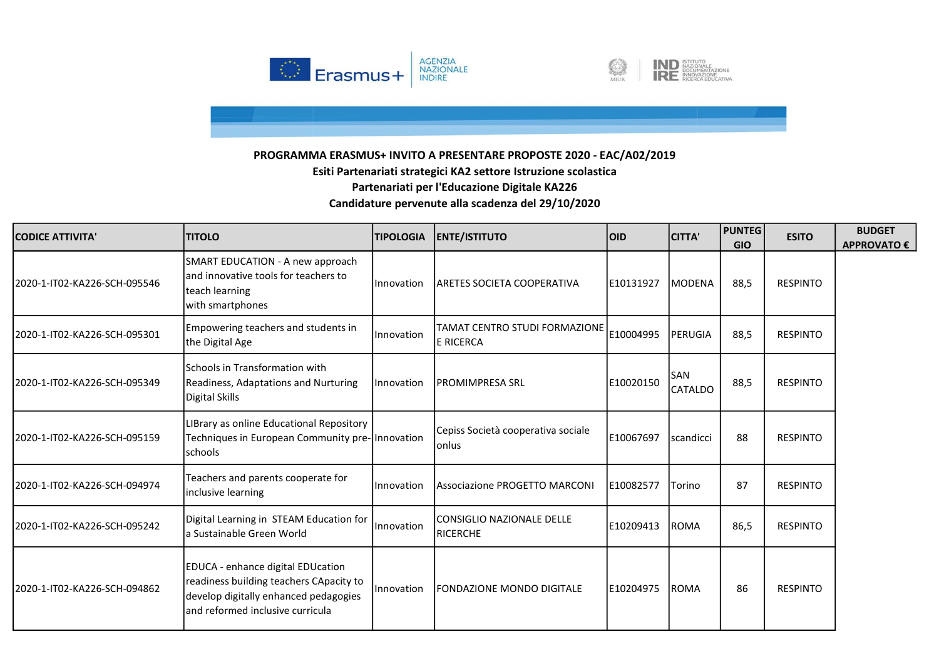



| <b>CODICE ATTIVITA'</b>       | <b>TITOLO</b>                                                                                                                                             | <b>TIPOLOGIA</b>  | <b>ENTE/ISTITUTO</b>                           | <b>OID</b> | <b>CITTA'</b>  | <b>PUNTEG</b><br><b>GIO</b> | <b>ESITO</b>    | <b>BUDGET</b><br>APPROVATO € |
|-------------------------------|-----------------------------------------------------------------------------------------------------------------------------------------------------------|-------------------|------------------------------------------------|------------|----------------|-----------------------------|-----------------|------------------------------|
| 2020-1-IT02-KA226-SCH-095546  | SMART EDUCATION - A new approach<br>and innovative tools for teachers to<br>teach learning<br>with smartphones                                            | <b>Innovation</b> | <b>ARETES SOCIETA COOPERATIVA</b>              | E10131927  | <b>MODENA</b>  | 88,5                        | <b>RESPINTO</b> |                              |
| 2020-1-IT02-KA226-SCH-095301  | Empowering teachers and students in<br>the Digital Age                                                                                                    | Innovation        | TAMAT CENTRO STUDI FORMAZIONE<br>E RICERCA     | E10004995  | <b>PERUGIA</b> | 88,5                        | <b>RESPINTO</b> |                              |
| l2020-1-IT02-KA226-SCH-095349 | Schools in Transformation with<br>Readiness, Adaptations and Nurturing<br>Digital Skills                                                                  | <i>Innovation</i> | IPROMIMPRESA SRL                               | E10020150  | SAN<br>CATALDO | 88,5                        | <b>RESPINTO</b> |                              |
| 2020-1-IT02-KA226-SCH-095159  | LIBrary as online Educational Repository<br>Techniques in European Community pre- Innovation<br>schools                                                   |                   | Cepiss Società cooperativa sociale<br>lonlus   | E10067697  | Iscandicci     | 88                          | <b>RESPINTO</b> |                              |
| 2020-1-IT02-KA226-SCH-094974  | Teachers and parents cooperate for<br>inclusive learning                                                                                                  | Innovation        | <b>Associazione PROGETTO MARCONI</b>           | E10082577  | Torino         | 87                          | <b>RESPINTO</b> |                              |
| 2020-1-IT02-KA226-SCH-095242  | Digital Learning in STEAM Education for<br>a Sustainable Green World                                                                                      | Innovation        | <b>l</b> CONSIGLIO NAZIONALE DELLE<br>RICERCHE | E10209413  | <b>ROMA</b>    | 86,5                        | <b>RESPINTO</b> |                              |
| 2020-1-IT02-KA226-SCH-094862  | EDUCA - enhance digital EDUcation<br>readiness building teachers CApacity to<br>develop digitally enhanced pedagogies<br>and reformed inclusive curricula | <i>Innovation</i> | <b>FONDAZIONE MONDO DIGITALE</b>               | E10204975  | <b>ROMA</b>    | 86                          | <b>RESPINTO</b> |                              |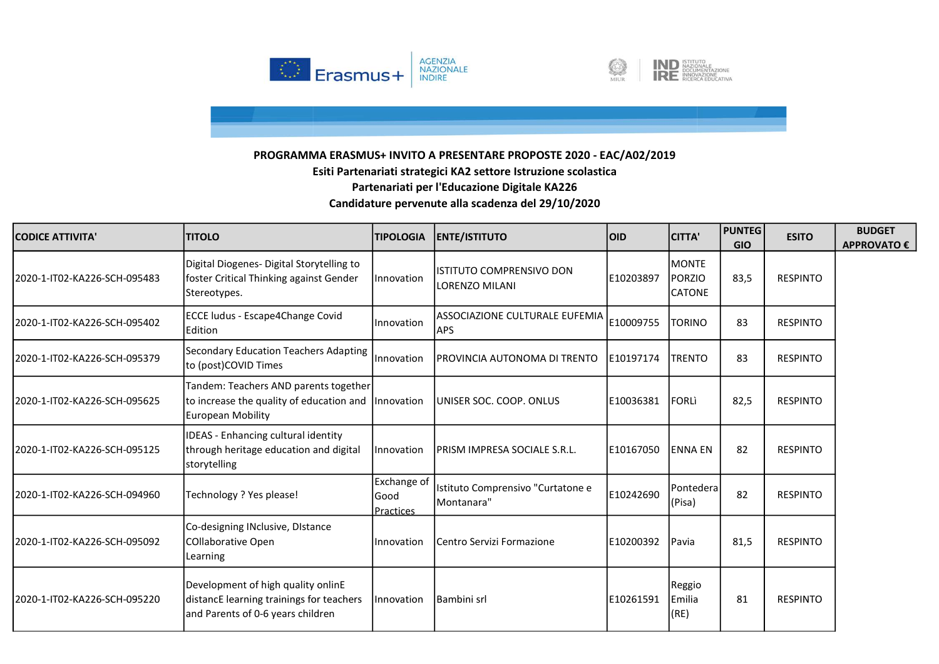



| <b>CODICE ATTIVITA'</b>      | <b>TITOLO</b>                                                                                                            | <b>TIPOLOGIA</b>                         | <b>ENTE/ISTITUTO</b>                            | <b>OID</b> | <b>CITTA'</b>                                   | <b>PUNTEG</b><br><b>GIO</b> | <b>ESITO</b>    | <b>BUDGET</b><br><b>APPROVATO €</b> |
|------------------------------|--------------------------------------------------------------------------------------------------------------------------|------------------------------------------|-------------------------------------------------|------------|-------------------------------------------------|-----------------------------|-----------------|-------------------------------------|
| 2020-1-IT02-KA226-SCH-095483 | Digital Diogenes- Digital Storytelling to<br>foster Critical Thinking against Gender<br>Stereotypes.                     | Innovation                               | ISTITUTO COMPRENSIVO DON<br>LORENZO MILANI      | E10203897  | <b>IMONTE</b><br><b>PORZIO</b><br><b>CATONE</b> | 83,5                        | <b>RESPINTO</b> |                                     |
| 2020-1-IT02-KA226-SCH-095402 | ECCE ludus - Escape4Change Covid<br>Edition                                                                              | Innovation                               | lassociazione culturale eufemia<br><b>APS</b>   | E10009755  | <b>TORINO</b>                                   | 83                          | <b>RESPINTO</b> |                                     |
| 2020-1-IT02-KA226-SCH-095379 | <b>Secondary Education Teachers Adapting</b><br>to (post)COVID Times                                                     | Innovation                               | PROVINCIA AUTONOMA DI TRENTO                    | E10197174  | <b>TRENTO</b>                                   | 83                          | <b>RESPINTO</b> |                                     |
| 2020-1-IT02-KA226-SCH-095625 | Tandem: Teachers AND parents together<br>to increase the quality of education and Innovation<br><b>European Mobility</b> |                                          | UNISER SOC. COOP. ONLUS                         | E10036381  | <b>FORL</b>                                     | 82,5                        | <b>RESPINTO</b> |                                     |
| 2020-1-IT02-KA226-SCH-095125 | IDEAS - Enhancing cultural identity<br>through heritage education and digital<br>storytelling                            | Innovation                               | PRISM IMPRESA SOCIALE S.R.L.                    | lE10167050 | <b>IENNA EN</b>                                 | 82                          | <b>RESPINTO</b> |                                     |
| 2020-1-IT02-KA226-SCH-094960 | Technology ? Yes please!                                                                                                 | Exchange of<br>lGood<br><b>Practices</b> | Istituto Comprensivo "Curtatone e<br>Montanara" | E10242690  | Pontedera<br>(Pisa)                             | 82                          | <b>RESPINTO</b> |                                     |
| 2020-1-IT02-KA226-SCH-095092 | Co-designing INclusive, DIstance<br><b>COllaborative Open</b><br>Learning                                                | Innovation                               | Centro Servizi Formazione                       | E10200392  | Pavia                                           | 81,5                        | <b>RESPINTO</b> |                                     |
| 2020-1-IT02-KA226-SCH-095220 | Development of high quality onlinE<br>distancE learning trainings for teachers<br>and Parents of 0-6 years children      | Innovation                               | <b>Bambini</b> srl                              | E10261591  | Reggio<br><b>LEmilia</b><br>(RE)                | 81                          | <b>RESPINTO</b> |                                     |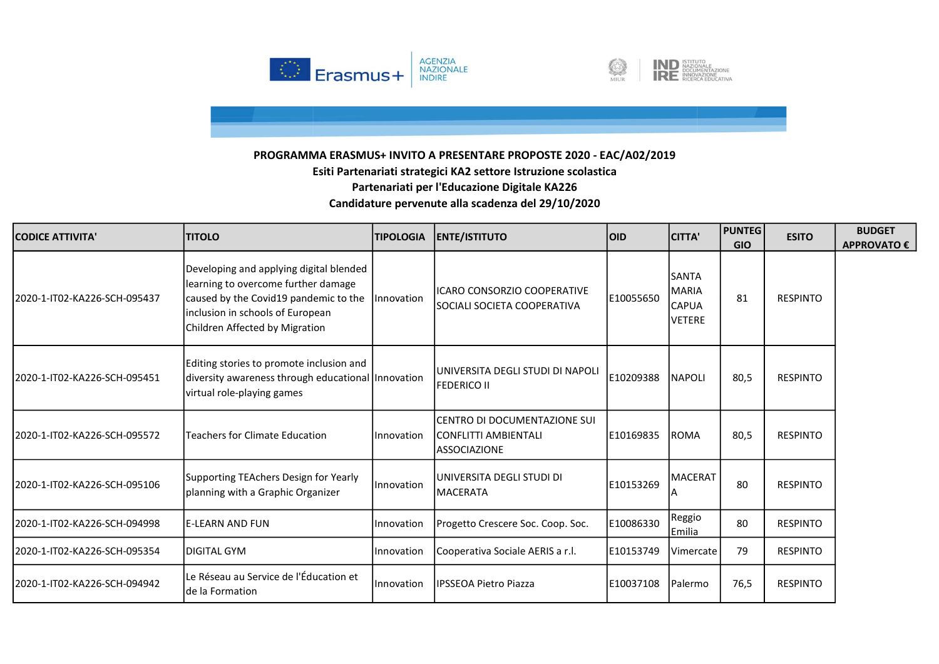



| <b>CODICE ATTIVITA'</b>      | <b>ITITOLO</b>                                                                                                                                                                                | <b>TIPOLOGIA</b>  | <b>ENTE/ISTITUTO</b>                                                         | loid      | <b>CITTA'</b>                                                 | <b>PUNTEG</b><br><b>GIO</b> | <b>ESITO</b>    | <b>BUDGET</b><br>APPROVATO € |
|------------------------------|-----------------------------------------------------------------------------------------------------------------------------------------------------------------------------------------------|-------------------|------------------------------------------------------------------------------|-----------|---------------------------------------------------------------|-----------------------------|-----------------|------------------------------|
| 2020-1-IT02-KA226-SCH-095437 | Developing and applying digital blended<br>learning to overcome further damage<br>caused by the Covid19 pandemic to the<br>inclusion in schools of European<br>Children Affected by Migration | <i>Innovation</i> | <b>IICARO CONSORZIO COOPERATIVE</b><br>SOCIALI SOCIETA COOPERATIVA           | E10055650 | <b>SANTA</b><br><b>MARIA</b><br><b>CAPUA</b><br><b>VETERE</b> | 81                          | <b>RESPINTO</b> |                              |
| 2020-1-IT02-KA226-SCH-095451 | Editing stories to promote inclusion and<br>diversity awareness through educational Innovation<br>virtual role-playing games                                                                  |                   | IUNIVERSITA DEGLI STUDI DI NAPOLI<br><b>FEDERICO II</b>                      | E10209388 | <b>NAPOLI</b>                                                 | 80,5                        | <b>RESPINTO</b> |                              |
| 2020-1-IT02-KA226-SCH-095572 | Teachers for Climate Education                                                                                                                                                                | <b>Innovation</b> | CENTRO DI DOCUMENTAZIONE SUI<br> CONFLITTI AMBIENTALI<br><b>ASSOCIAZIONE</b> | E10169835 | <b>ROMA</b>                                                   | 80,5                        | <b>RESPINTO</b> |                              |
| 2020-1-IT02-KA226-SCH-095106 | Supporting TEAchers Design for Yearly<br>planning with a Graphic Organizer                                                                                                                    | Innovation        | luniversita degli studi di<br>MACERATA                                       | E10153269 | <b>MACERAT</b>                                                | 80                          | <b>RESPINTO</b> |                              |
| 2020-1-IT02-KA226-SCH-094998 | le-LEARN AND FUN                                                                                                                                                                              | Innovation        | Progetto Crescere Soc. Coop. Soc.                                            | E10086330 | Reggio<br><b>IEmilia</b>                                      | 80                          | <b>RESPINTO</b> |                              |
| 2020-1-IT02-KA226-SCH-095354 | IDIGITAL GYM                                                                                                                                                                                  | Innovation        | Cooperativa Sociale AERIS a r.l.                                             | E10153749 | Vimercate                                                     | 79                          | <b>RESPINTO</b> |                              |
| 2020-1-IT02-KA226-SCH-094942 | Le Réseau au Service de l'Éducation et<br>lde la Formation                                                                                                                                    | Innovation        | <b>IPSSEOA Pietro Piazza</b>                                                 | E10037108 | Palermo                                                       | 76,5                        | <b>RESPINTO</b> |                              |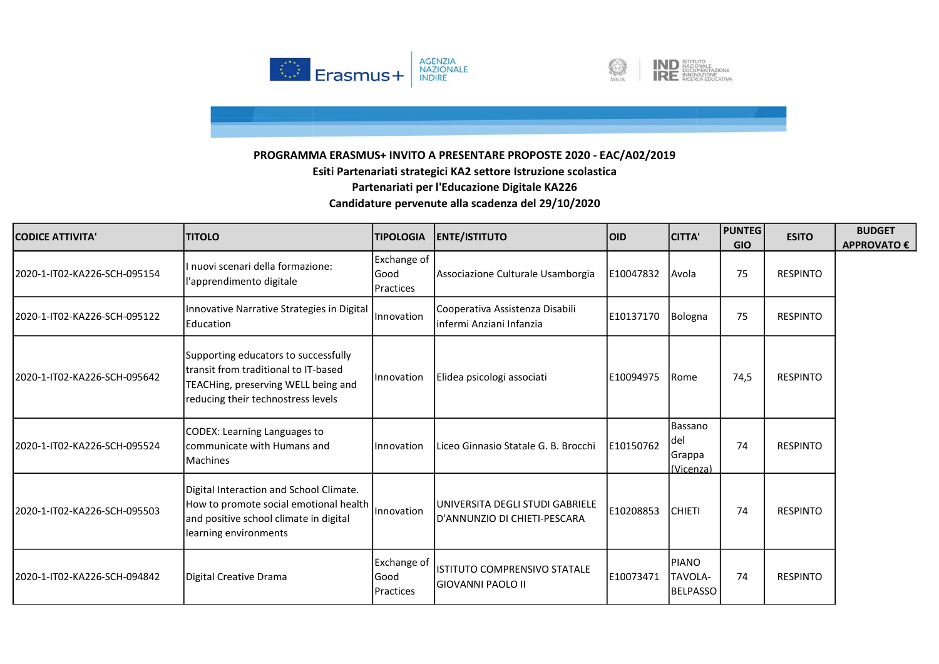



| <b>CODICE ATTIVITA'</b>       | <b>TITOLO</b>                                                                                                                                              | <b>TIPOLOGIA</b>                         | <b>ENTE/ISTITUTO</b>                                            | <b>OID</b> | <b>CITTA'</b>                         | <b>PUNTEG</b><br><b>GIO</b> | <b>ESITO</b>    | <b>BUDGET</b><br><b>APPROVATO €</b> |
|-------------------------------|------------------------------------------------------------------------------------------------------------------------------------------------------------|------------------------------------------|-----------------------------------------------------------------|------------|---------------------------------------|-----------------------------|-----------------|-------------------------------------|
| 2020-1-IT02-KA226-SCH-095154  | II nuovi scenari della formazione:<br>l'apprendimento digitale                                                                                             | Exchange of<br>Good<br>Practices         | Associazione Culturale Usamborgia                               | E10047832  | Avola                                 | 75                          | <b>RESPINTO</b> |                                     |
| 2020-1-IT02-KA226-SCH-095122  | Innovative Narrative Strategies in Digital<br><b>IEducation</b>                                                                                            | <i>Innovation</i>                        | Cooperativa Assistenza Disabili<br>infermi Anziani Infanzia     | E10137170  | Bologna                               | 75                          | <b>RESPINTO</b> |                                     |
| 2020-1-IT02-KA226-SCH-095642  | Supporting educators to successfully<br>Itransit from traditional to IT-based<br>TEACHing, preserving WELL being and<br>reducing their technostress levels | Innovation                               | Elidea psicologi associati                                      | E10094975  | Rome                                  | 74,5                        | <b>RESPINTO</b> |                                     |
| l2020-1-IT02-KA226-SCH-095524 | CODEX: Learning Languages to<br>lcommunicate with Humans and<br><b>IMachines</b>                                                                           | <i>Innovation</i>                        | Liceo Ginnasio Statale G. B. Brocchi                            | E10150762  | Bassano<br>del<br>Grappa<br>(Vicenza) | 74                          | <b>RESPINTO</b> |                                     |
| 2020-1-IT02-KA226-SCH-095503  | Digital Interaction and School Climate.<br>How to promote social emotional health  <br>and positive school climate in digital<br>learning environments     | <i>Innovation</i>                        | UNIVERSITA DEGLI STUDI GABRIELE<br>D'ANNUNZIO DI CHIETI-PESCARA | E10208853  | <b>CHIETI</b>                         | 74                          | <b>RESPINTO</b> |                                     |
| 2020-1-IT02-KA226-SCH-094842  | Digital Creative Drama                                                                                                                                     | Exchange of<br>lGood<br><b>Practices</b> | <b>ISTITUTO COMPRENSIVO STATALE</b><br> GIOVANNI PAOLO II       | E10073471  | <b>PIANO</b><br>TAVOLA-<br>BELPASSO   | 74                          | <b>RESPINTO</b> |                                     |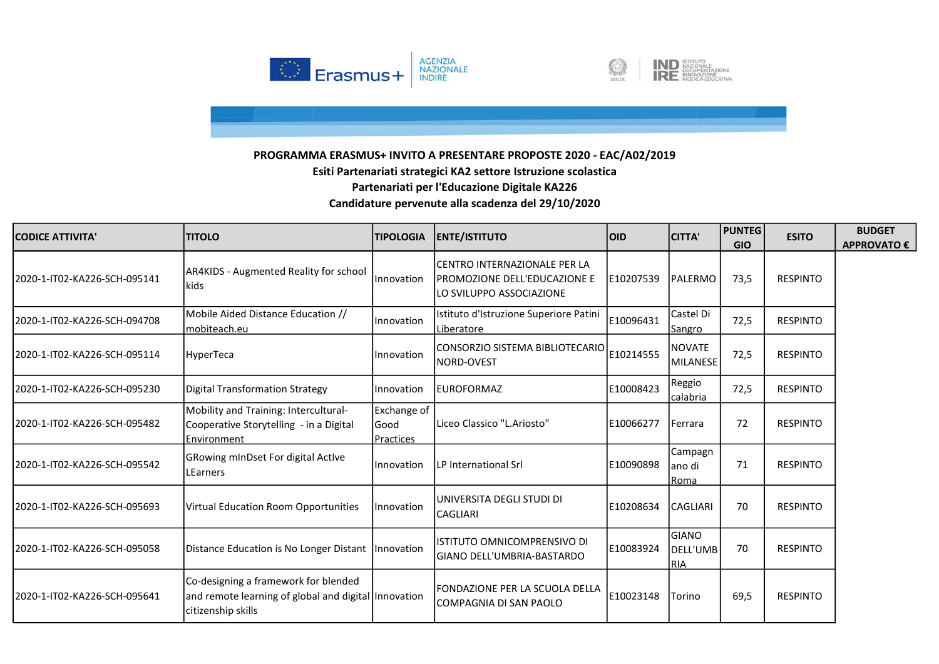



| <b>CODICE ATTIVITA'</b>       | <b>TITOLO</b>                                                                                                      | <b>TIPOLOGIA</b>                  | <b>ENTE/ISTITUTO</b>                                                                      | <b>OID</b> | <b>CITTA'</b>                          | <b>PUNTEG</b><br><b>GIO</b> | <b>ESITO</b>    | <b>BUDGET</b><br>APPROVATO € |
|-------------------------------|--------------------------------------------------------------------------------------------------------------------|-----------------------------------|-------------------------------------------------------------------------------------------|------------|----------------------------------------|-----------------------------|-----------------|------------------------------|
| l2020-1-IT02-KA226-SCH-095141 | AR4KIDS - Augmented Reality for school<br>kids                                                                     | <i>Innovation</i>                 | CENTRO INTERNAZIONALE PER LA<br>IPROMOZIONE DELL'EDUCAZIONE E<br>LO SVILUPPO ASSOCIAZIONE | E10207539  | PALERMO                                | 73,5                        | <b>RESPINTO</b> |                              |
| 2020-1-IT02-KA226-SCH-094708  | Mobile Aided Distance Education //<br>mobiteach.eu                                                                 | Innovation                        | Istituto d'Istruzione Superiore Patini<br>Liberatore                                      | E10096431  | Castel Di<br>Sangro                    | 72,5                        | <b>RESPINTO</b> |                              |
| 2020-1-IT02-KA226-SCH-095114  | HyperTeca                                                                                                          | Innovation                        | lCONSORZIO SISTEMA BIBLIOTECARIO<br>NORD-OVEST                                            | E10214555  | <b>NOVATE</b><br>MILANESE              | 72,5                        | <b>RESPINTO</b> |                              |
| 2020-1-IT02-KA226-SCH-095230  | Digital Transformation Strategy                                                                                    | <b>Innovation</b>                 | leuroformaz                                                                               | E10008423  | Reggio<br>calabria                     | 72,5                        | <b>RESPINTO</b> |                              |
| 2020-1-IT02-KA226-SCH-095482  | Mobility and Training: Intercultural-<br>Cooperative Storytelling - in a Digital<br><b>IEnvironment</b>            | Exchange of<br>lGood<br>Practices | Liceo Classico "L.Ariosto"                                                                | IE10066277 | <b>Ferrara</b>                         | 72                          | <b>RESPINTO</b> |                              |
| 2020-1-IT02-KA226-SCH-095542  | <b>GRowing mInDset For digital Active</b><br>LEarners                                                              | <b>Innovation</b>                 | LP International Srl                                                                      | E10090898  | Campagn<br>lano di<br><b>Roma</b>      | 71                          | <b>RESPINTO</b> |                              |
| 2020-1-IT02-KA226-SCH-095693  | Virtual Education Room Opportunities                                                                               | <i>Innovation</i>                 | UNIVERSITA DEGLI STUDI DI<br><b>CAGLIARI</b>                                              | E10208634  | <b>CAGLIARI</b>                        | 70                          | <b>RESPINTO</b> |                              |
| 2020-1-IT02-KA226-SCH-095058  | Distance Education is No Longer Distant Innovation                                                                 |                                   | ISTITUTO OMNICOMPRENSIVO DI<br>lgiano dell'UMBRIA-BASTARDO                                | E10083924  | <b>GIANO</b><br>DELL'UMB<br><b>RIA</b> | 70                          | <b>RESPINTO</b> |                              |
| 2020-1-IT02-KA226-SCH-095641  | Co-designing a framework for blended<br>and remote learning of global and digital Innovation<br>citizenship skills |                                   | FONDAZIONE PER LA SCUOLA DELLA<br>ICOMPAGNIA DI SAN PAOLO                                 | E10023148  | Torino                                 | 69,5                        | <b>RESPINTO</b> |                              |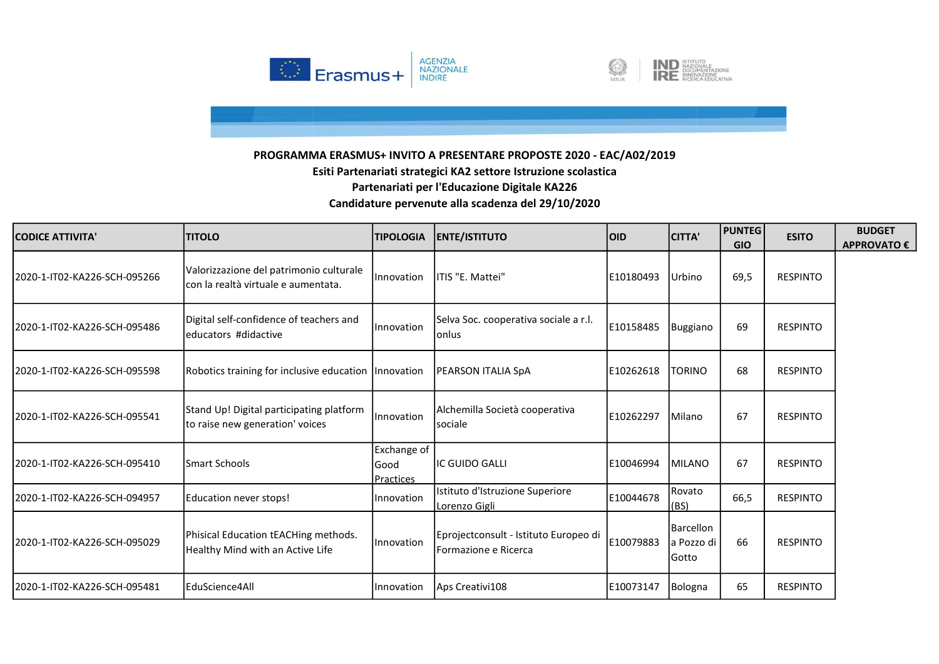



| <b>CODICE ATTIVITA'</b>       | <b>TITOLO</b>                                                                  | <b>TIPOLOGIA</b>                         | <b>ENTE/ISTITUTO</b>                                           | loid      | <b>CITTA'</b>                    | <b>PUNTEG</b><br><b>GIO</b> | <b>ESITO</b>    | <b>BUDGET</b><br>APPROVATO € |
|-------------------------------|--------------------------------------------------------------------------------|------------------------------------------|----------------------------------------------------------------|-----------|----------------------------------|-----------------------------|-----------------|------------------------------|
| 2020-1-IT02-KA226-SCH-095266  | Valorizzazione del patrimonio culturale<br>con la realtà virtuale e aumentata. | Innovation                               | ITIS "E. Mattei"                                               | E10180493 | Urbino                           | 69,5                        | <b>RESPINTO</b> |                              |
| 2020-1-IT02-KA226-SCH-095486  | Digital self-confidence of teachers and<br>leducators #didactive               | Innovation                               | Selva Soc. cooperativa sociale a r.l.<br>lonlus                | E10158485 | Buggiano                         | 69                          | <b>RESPINTO</b> |                              |
| 2020-1-IT02-KA226-SCH-095598  | Robotics training for inclusive education   Innovation                         |                                          | PEARSON ITALIA SpA                                             | E10262618 | <b>TORINO</b>                    | 68                          | <b>RESPINTO</b> |                              |
| 2020-1-IT02-KA226-SCH-095541  | Stand Up! Digital participating platform<br>to raise new generation' voices    | <b>Innovation</b>                        | Alchemilla Società cooperativa<br><b>sociale</b>               | E10262297 | Milano                           | 67                          | <b>RESPINTO</b> |                              |
| 2020-1-IT02-KA226-SCH-095410  | <b>ISmart Schools</b>                                                          | <b>Exchange of</b><br>lGood<br>Practices | <b>IIC GUIDO GALLI</b>                                         | E10046994 | MILANO                           | 67                          | <b>RESPINTO</b> |                              |
| 2020-1-IT02-KA226-SCH-094957  | Education never stops!                                                         | Innovation                               | Istituto d'Istruzione Superiore<br>Lorenzo Gigli               | E10044678 | Rovato<br>(BS)                   | 66,5                        | <b>RESPINTO</b> |                              |
| l2020-1-IT02-KA226-SCH-095029 | Phisical Education tEACHing methods.<br>Healthy Mind with an Active Life       | Innovation                               | Eprojectconsult - Istituto Europeo di<br>lFormazione e Ricerca | E10079883 | Barcellon<br>a Pozzo di<br>Gotto | 66                          | <b>RESPINTO</b> |                              |
| 2020-1-IT02-KA226-SCH-095481  | <b>IEduScience4All</b>                                                         | Innovation                               | Aps Creativi108                                                | E10073147 | Bologna                          | 65                          | <b>RESPINTO</b> |                              |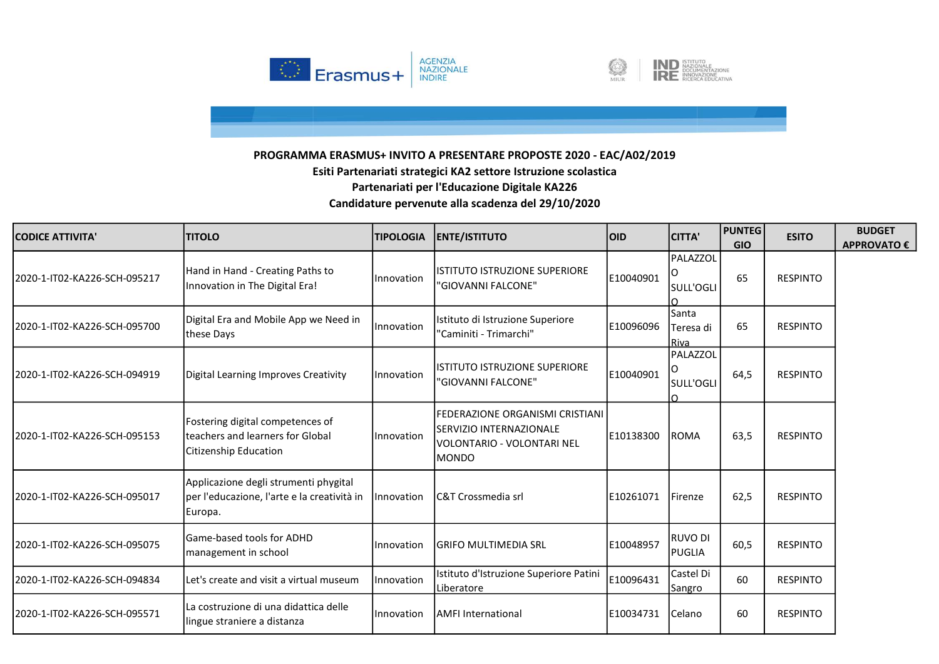



| <b>CODICE ATTIVITA'</b>       | <b>TITOLO</b>                                                                                        | <b>TIPOLOGIA</b>  | <b>ENTE/ISTITUTO</b>                                                                               | <b>OID</b> | <b>CITTA'</b>               | <b>PUNTEG</b><br><b>GIO</b> | <b>ESITO</b>    | <b>BUDGET</b><br><b>APPROVATO €</b> |
|-------------------------------|------------------------------------------------------------------------------------------------------|-------------------|----------------------------------------------------------------------------------------------------|------------|-----------------------------|-----------------------------|-----------------|-------------------------------------|
| 2020-1-IT02-KA226-SCH-095217  | Hand in Hand - Creating Paths to<br>Innovation in The Digital Era!                                   | Innovation        | listituto istruzione superiore<br>"GIOVANNI FALCONE"                                               | E10040901  | PALAZZOL<br>SULL'OGLI       | 65                          | <b>RESPINTO</b> |                                     |
| 2020-1-IT02-KA226-SCH-095700  | Digital Era and Mobile App we Need in<br>these Days                                                  | Innovation        | Istituto di Istruzione Superiore<br>"Caminiti - Trimarchi"                                         | E10096096  | Santa<br>Teresa di<br>Riva  | 65                          | <b>RESPINTO</b> |                                     |
| l2020-1-IT02-KA226-SCH-094919 | Digital Learning Improves Creativity                                                                 | Innovation        | <b>IISTITUTO ISTRUZIONE SUPERIORE</b><br>"GIOVANNI FALCONE"                                        | E10040901  | PALAZZOL<br>ΙO<br>SULL'OGLI | 64,5                        | <b>RESPINTO</b> |                                     |
| l2020-1-IT02-KA226-SCH-095153 | Fostering digital competences of<br>teachers and learners for Global<br><b>Citizenship Education</b> | Innovation        | lFEDERAZIONE ORGANISMI CRISTIANI<br>SERVIZIO INTERNAZIONALE<br>VOLONTARIO - VOLONTARI NEL<br>MONDO | E10138300  | <b>ROMA</b>                 | 63,5                        | <b>RESPINTO</b> |                                     |
| 2020-1-IT02-KA226-SCH-095017  | Applicazione degli strumenti phygital<br>per l'educazione, l'arte e la creatività in<br>Europa.      | <i>Innovation</i> | <b>C&amp;T Crossmedia srl</b>                                                                      | E10261071  | <b>IFirenze</b>             | 62,5                        | <b>RESPINTO</b> |                                     |
| 2020-1-IT02-KA226-SCH-095075  | Game-based tools for ADHD<br>management in school                                                    | <b>Innovation</b> | lgrifo multimedia Srl                                                                              | E10048957  | <b>RUVO DI</b><br>PUGLIA    | 60,5                        | <b>RESPINTO</b> |                                     |
| 2020-1-IT02-KA226-SCH-094834  | Let's create and visit a virtual museum                                                              | Innovation        | Istituto d'Istruzione Superiore Patini<br>Liberatore                                               | E10096431  | Castel Di<br>Sangro         | 60                          | <b>RESPINTO</b> |                                     |
| 2020-1-IT02-KA226-SCH-095571  | La costruzione di una didattica delle<br>lingue straniere a distanza                                 | Innovation        | <b>AMFI International</b>                                                                          | E10034731  | <b>Celano</b>               | 60                          | <b>RESPINTO</b> |                                     |